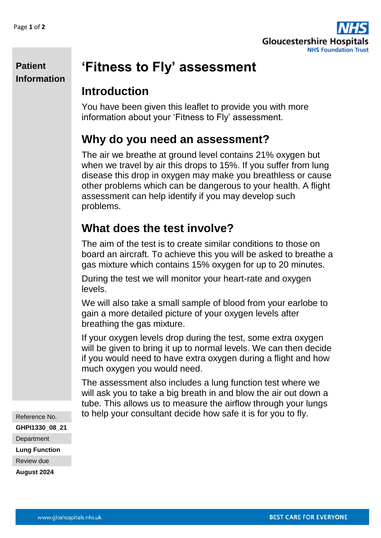

#### **Patient Information**

# **'Fitness to Fly' assessment**

### **Introduction**

You have been given this leaflet to provide you with more information about your 'Fitness to Fly' assessment.

### **Why do you need an assessment?**

The air we breathe at ground level contains 21% oxygen but when we travel by air this drops to 15%. If you suffer from lung disease this drop in oxygen may make you breathless or cause other problems which can be dangerous to your health. A flight assessment can help identify if you may develop such problems.

# **What does the test involve?**

The aim of the test is to create similar conditions to those on board an aircraft. To achieve this you will be asked to breathe a gas mixture which contains 15% oxygen for up to 20 minutes.

During the test we will monitor your heart-rate and oxygen levels.

We will also take a small sample of blood from your earlobe to gain a more detailed picture of your oxygen levels after breathing the gas mixture.

If your oxygen levels drop during the test, some extra oxygen will be given to bring it up to normal levels. We can then decide if you would need to have extra oxygen during a flight and how much oxygen you would need.

The assessment also includes a lung function test where we will ask you to take a big breath in and blow the air out down a tube. This allows us to measure the airflow through your lungs to help your consultant decide how safe it is for you to fly.

Reference No. **GHPI1330\_08\_21 Department Lung Function** Review due **August 2024**